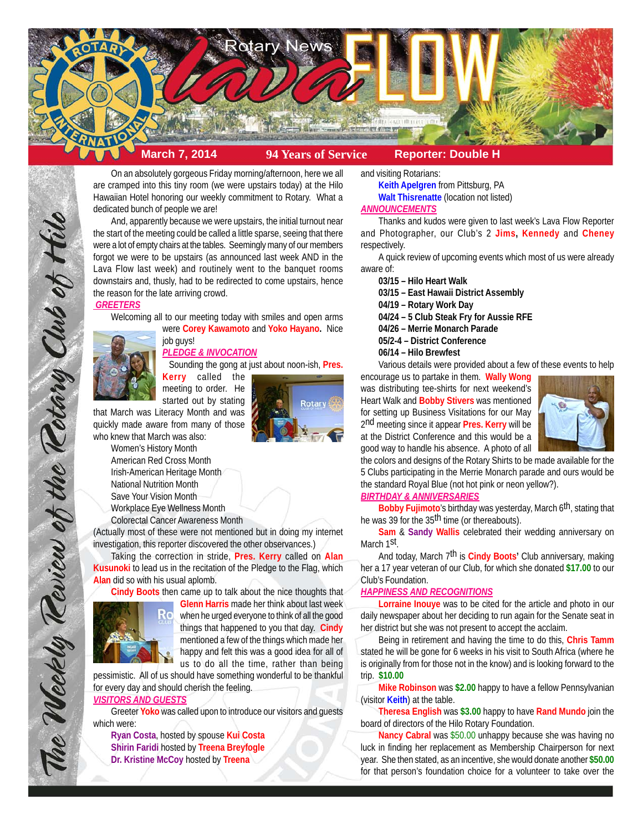

On an absolutely gorgeous Friday morning/afternoon, here we all are cramped into this tiny room (we were upstairs today) at the Hilo Hawaiian Hotel honoring our weekly commitment to Rotary. What a dedicated bunch of people we are!

And, apparently because we were upstairs, the initial turnout near the start of the meeting could be called a little sparse, seeing that there were a lot of empty chairs at the tables. Seemingly many of our members forgot we were to be upstairs (as announced last week AND in the Lava Flow last week) and routinely went to the banquet rooms downstairs and, thusly, had to be redirected to come upstairs, hence the reason for the late arriving crowd.

#### *GREETERS*

Welcoming all to our meeting today with smiles and open arms

The Weekly Teview of the Tetary Club of Hilo

job guys! *PLEDGE & INVOCATION* Sounding the gong at just about noon-ish, **Pres.**

were **Corey Kawamoto** and **Yoko Hayano.** Nice

**Kerry** called the meeting to order. He started out by stating

that March was Literacy Month and was quickly made aware from many of those who knew that March was also:

> Women's History Month American Red Cross Month Irish-American Heritage Month National Nutrition Month Save Your Vision Month Workplace Eye Wellness Month Colorectal Cancer Awareness Month



# and visiting Rotarians:

**Keith Apelgren** from Pittsburg, PA **Walt Thisrenatte** (location not listed) *ANNOUNCEMENTS*

Thanks and kudos were given to last week's Lava Flow Reporter and Photographer, our Club's 2 **Jims, Kennedy** and **Cheney** respectively.

A quick review of upcoming events which most of us were already aware of:

**03/15 – Hilo Heart Walk**

**03/15 – East Hawaii District Assembly**

**04/19 – Rotary Work Day**

**04/24 – 5 Club Steak Fry for Aussie RFE**

**04/26 – Merrie Monarch Parade**

**05/2-4 – District Conference**

**06/14 – Hilo Brewfest**

Various details were provided about a few of these events to help

encourage us to partake in them. **Wally Wong** was distributing tee-shirts for next weekend's Heart Walk and **Bobby Stivers** was mentioned for setting up Business Visitations for our May 2nd meeting since it appear **Pres. Kerry** will be at the District Conference and this would be a good way to handle his absence. A photo of all



the colors and designs of the Rotary Shirts to be made available for the 5 Clubs participating in the Merrie Monarch parade and ours would be the standard Royal Blue (not hot pink or neon yellow?).

# *BIRTHDAY & ANNIVERSARIES*

**Bobby Fujimoto**'s birthday was yesterday, March 6th, stating that he was 39 for the 35th time (or thereabouts).

**Sam** & **Sandy Wallis** celebrated their wedding anniversary on March 1<sup>st</sup>.

And today, March 7th is **Cindy Boots'** Club anniversary, making her a 17 year veteran of our Club, for which she donated **\$17.00** to our Club's Foundation.

#### *HAPPINESS AND RECOGNITIONS*

**Lorraine Inouye** was to be cited for the article and photo in our daily newspaper about her deciding to run again for the Senate seat in her district but she was not present to accept the acclaim.

Being in retirement and having the time to do this, **Chris Tamm** stated he will be gone for 6 weeks in his visit to South Africa (where he is originally from for those not in the know) and is looking forward to the trip. **\$10.00**

**Mike Robinson** was **\$2.00** happy to have a fellow Pennsylvanian (visitor **Keith**) at the table.

**Theresa English** was **\$3.00** happy to have **Rand Mundo** join the board of directors of the Hilo Rotary Foundation.

**Nancy Cabral** was \$50.00 unhappy because she was having no luck in finding her replacement as Membership Chairperson for next year. She then stated, as an incentive, she would donate another **\$50.00** for that person's foundation choice for a volunteer to take over the



**Alan** did so with his usual aplomb.

**Cindy Boots** then came up to talk about the nice thoughts that **Glenn Harris** made her think about last week when he urged everyone to think of all the good things that happened to you that day. **Cindy** mentioned a few of the things which made her happy and felt this was a good idea for all of us to do all the time, rather than being

pessimistic. All of us should have something wonderful to be thankful for every day and should cherish the feeling.

(Actually most of these were not mentioned but in doing my internet investigation, this reporter discovered the other observances.)

Taking the correction in stride, **Pres. Kerry** called on **Alan Kusunoki** to lead us in the recitation of the Pledge to the Flag, which

### *VISITORS AND GUESTS*

Greeter **Yoko** was called upon to introduce our visitors and guests which were:

**Ryan Costa**, hosted by spouse **Kui Costa Shirin Faridi** hosted by **Treena Breyfogle Dr. Kristine McCoy** hosted by **Treena**